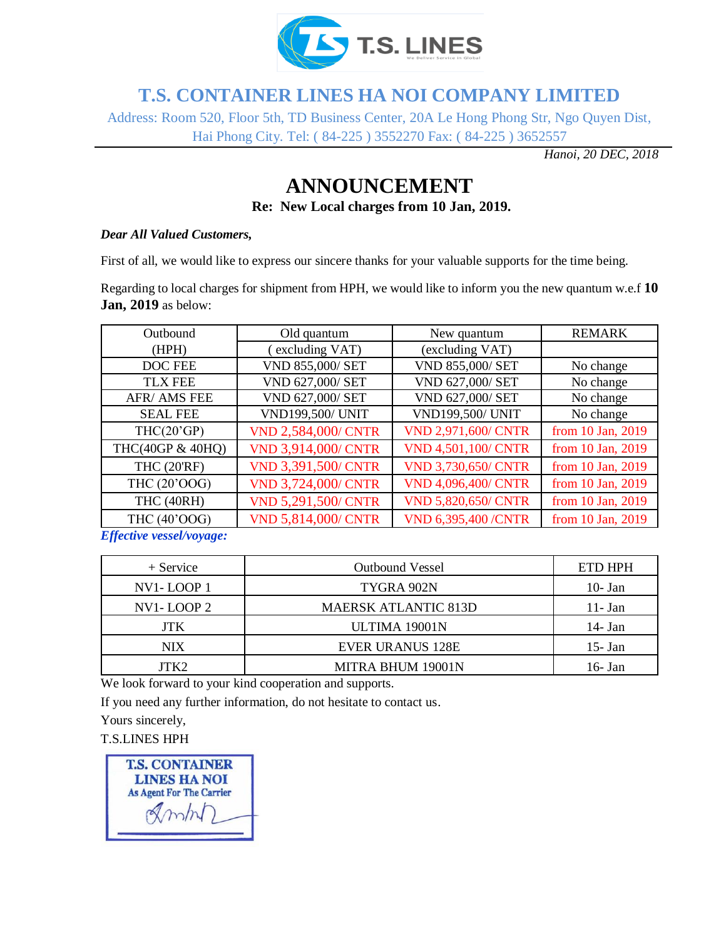

## **T.S. CONTAINER LINES HA NOI COMPANY LIMITED**

Address: Room 520, Floor 5th, TD Business Center, 20A Le Hong Phong Str, Ngo Quyen Dist, Hai Phong City. Tel: ( 84-225 ) 3552270 Fax: ( 84-225 ) 3652557

*Hanoi, 20 DEC, 2018*

# **ANNOUNCEMENT**

**Re: New Local charges from 10 Jan, 2019.**

#### *Dear All Valued Customers,*

First of all, we would like to express our sincere thanks for your valuable supports for the time being.

Regarding to local charges for shipment from HPH, we would like to inform you the new quantum w.e.f **10 Jan, 2019** as below:

| Outbound           | Old quantum                | New quantum                | <b>REMARK</b>     |
|--------------------|----------------------------|----------------------------|-------------------|
| (HPH)              | excluding VAT)             | (excluding VAT)            |                   |
| DOC FEE            | VND 855,000/ SET           | VND 855,000/ SET           | No change         |
| <b>TLX FEE</b>     | VND 627,000/ SET           | VND 627,000/ SET           | No change         |
| AFR/ AMS FEE       | VND 627,000/ SET           | VND 627,000/ SET           | No change         |
| <b>SEAL FEE</b>    | <b>VND199,500/ UNIT</b>    | <b>VND199,500/ UNIT</b>    | No change         |
| THC(20'GP)         | <b>VND 2,584,000/ CNTR</b> | <b>VND 2,971,600/ CNTR</b> | from 10 Jan, 2019 |
| THC(40GP & 40HQ)   | <b>VND 3,914,000/ CNTR</b> | <b>VND 4,501,100/ CNTR</b> | from 10 Jan, 2019 |
| <b>THC (20'RF)</b> | <b>VND 3,391,500/ CNTR</b> | <b>VND 3,730,650/ CNTR</b> | from 10 Jan, 2019 |
| THC (20'OOG)       | <b>VND 3,724,000/ CNTR</b> | <b>VND 4,096,400/ CNTR</b> | from 10 Jan, 2019 |
| THC (40RH)         | <b>VND 5,291,500/ CNTR</b> | <b>VND 5,820,650/ CNTR</b> | from 10 Jan, 2019 |
| THC (40'OOG)       | <b>VND 5,814,000/ CNTR</b> | <b>VND 6,395,400 /CNTR</b> | from 10 Jan, 2019 |

*Effective vessel/voyage:*

| $+$ Service    | <b>Outbound Vessel</b>      | ETD HPH    |
|----------------|-----------------------------|------------|
| $NVI$ - LOOP 1 | TYGRA 902N                  | $10 - Jan$ |
| $NVI$ - LOOP 2 | <b>MAERSK ATLANTIC 813D</b> | $11 - Jan$ |
| <b>JTK</b>     | ULTIMA 19001N               | 14 - Jan   |
| NIX.           | <b>EVER URANUS 128E</b>     | $15 - Jan$ |
| ITK2           | <b>MITRA BHUM 19001N</b>    | 16 - Jan   |

We look forward to your kind cooperation and supports.

If you need any further information, do not hesitate to contact us.

Yours sincerely,

T.S.LINES HPH

**T.S. CONTAINER LINES HA NOI As Agent For The Carrier**  $RmhD$